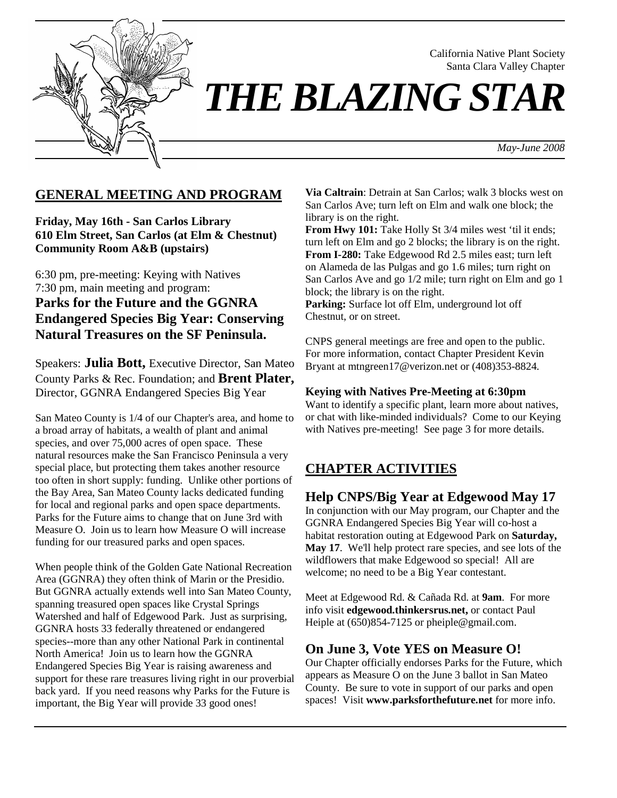

 California Native Plant Society Santa Clara Valley Chapter

# *THE BLAZING STAR*

 *May-June 2008*

# **GENERAL MEETING AND PROGRAM**

**Friday, May 16th - San Carlos Library 610 Elm Street, San Carlos (at Elm & Chestnut) Community Room A&B (upstairs)** 

6:30 pm, pre-meeting: Keying with Natives 7:30 pm, main meeting and program: **Parks for the Future and the GGNRA Endangered Species Big Year: Conserving Natural Treasures on the SF Peninsula.** 

Speakers: **Julia Bott,** Executive Director, San Mateo County Parks & Rec. Foundation; and **Brent Plater,**  Director, GGNRA Endangered Species Big Year

San Mateo County is 1/4 of our Chapter's area, and home to a broad array of habitats, a wealth of plant and animal species, and over 75,000 acres of open space. These natural resources make the San Francisco Peninsula a very special place, but protecting them takes another resource too often in short supply: funding. Unlike other portions of the Bay Area, San Mateo County lacks dedicated funding for local and regional parks and open space departments. Parks for the Future aims to change that on June 3rd with Measure O. Join us to learn how Measure O will increase funding for our treasured parks and open spaces.

When people think of the Golden Gate National Recreation Area (GGNRA) they often think of Marin or the Presidio. But GGNRA actually extends well into San Mateo County, spanning treasured open spaces like Crystal Springs Watershed and half of Edgewood Park. Just as surprising, GGNRA hosts 33 federally threatened or endangered species--more than any other National Park in continental North America! Join us to learn how the GGNRA Endangered Species Big Year is raising awareness and support for these rare treasures living right in our proverbial back yard. If you need reasons why Parks for the Future is important, the Big Year will provide 33 good ones!

**Via Caltrain**: Detrain at San Carlos; walk 3 blocks west on San Carlos Ave; turn left on Elm and walk one block; the library is on the right.

From Hwy 101: Take Holly St 3/4 miles west 'til it ends; turn left on Elm and go 2 blocks; the library is on the right. **From I-280:** Take Edgewood Rd 2.5 miles east; turn left on Alameda de las Pulgas and go 1.6 miles; turn right on San Carlos Ave and go 1/2 mile; turn right on Elm and go 1 block; the library is on the right.

**Parking:** Surface lot off Elm, underground lot off Chestnut, or on street.

CNPS general meetings are free and open to the public. For more information, contact Chapter President Kevin Bryant at mtngreen17@verizon.net or (408)353-8824.

#### **Keying with Natives Pre-Meeting at 6:30pm**

Want to identify a specific plant, learn more about natives, or chat with like-minded individuals? Come to our Keying with Natives pre-meeting! See page 3 for more details.

# **CHAPTER ACTIVITIES**

# **Help CNPS/Big Year at Edgewood May 17**

In conjunction with our May program, our Chapter and the GGNRA Endangered Species Big Year will co-host a habitat restoration outing at Edgewood Park on **Saturday, May 17**. We'll help protect rare species, and see lots of the wildflowers that make Edgewood so special! All are welcome; no need to be a Big Year contestant.

Meet at Edgewood Rd. & Cañada Rd. at **9am**. For more info visit **edgewood.thinkersrus.net,** or contact Paul Heiple at  $(650)854-7125$  or pheiple@gmail.com.

# **On June 3, Vote YES on Measure O!**

Our Chapter officially endorses Parks for the Future, which appears as Measure O on the June 3 ballot in San Mateo County. Be sure to vote in support of our parks and open spaces! Visit **www.parksforthefuture.net** for more info.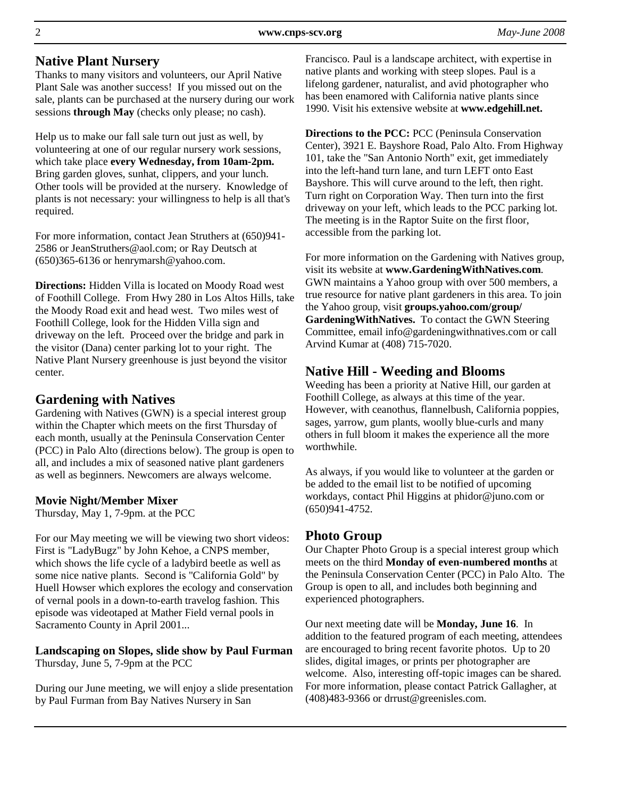## **Native Plant Nursery**

Thanks to many visitors and volunteers, our April Native Plant Sale was another success! If you missed out on the sale, plants can be purchased at the nursery during our work sessions **through May** (checks only please; no cash).

Help us to make our fall sale turn out just as well, by volunteering at one of our regular nursery work sessions, which take place **every Wednesday, from 10am-2pm.**  Bring garden gloves, sunhat, clippers, and your lunch. Other tools will be provided at the nursery. Knowledge of plants is not necessary: your willingness to help is all that's required.

For more information, contact Jean Struthers at (650)941- 2586 or JeanStruthers@aol.com; or Ray Deutsch at (650)365-6136 or henrymarsh@yahoo.com.

**Directions:** Hidden Villa is located on Moody Road west of Foothill College. From Hwy 280 in Los Altos Hills, take the Moody Road exit and head west. Two miles west of Foothill College, look for the Hidden Villa sign and driveway on the left. Proceed over the bridge and park in the visitor (Dana) center parking lot to your right. The Native Plant Nursery greenhouse is just beyond the visitor center.

### **Gardening with Natives**

Gardening with Natives (GWN) is a special interest group within the Chapter which meets on the first Thursday of each month, usually at the Peninsula Conservation Center (PCC) in Palo Alto (directions below). The group is open to all, and includes a mix of seasoned native plant gardeners as well as beginners. Newcomers are always welcome.

#### **Movie Night/Member Mixer**

Thursday, May 1, 7-9pm. at the PCC

For our May meeting we will be viewing two short videos: First is "LadyBugz" by John Kehoe, a CNPS member, which shows the life cycle of a ladybird beetle as well as some nice native plants. Second is "California Gold" by Huell Howser which explores the ecology and conservation of vernal pools in a down-to-earth travelog fashion. This episode was videotaped at Mather Field vernal pools in Sacramento County in April 2001...

**Landscaping on Slopes, slide show by Paul Furman**  Thursday, June 5, 7-9pm at the PCC

During our June meeting, we will enjoy a slide presentation by Paul Furman from Bay Natives Nursery in San

Francisco. Paul is a landscape architect, with expertise in native plants and working with steep slopes. Paul is a lifelong gardener, naturalist, and avid photographer who has been enamored with California native plants since 1990. Visit his extensive website at **www.edgehill.net.**

**Directions to the PCC:** PCC (Peninsula Conservation Center), 3921 E. Bayshore Road, Palo Alto. From Highway 101, take the "San Antonio North" exit, get immediately into the left-hand turn lane, and turn LEFT onto East Bayshore. This will curve around to the left, then right. Turn right on Corporation Way. Then turn into the first driveway on your left, which leads to the PCC parking lot. The meeting is in the Raptor Suite on the first floor, accessible from the parking lot.

For more information on the Gardening with Natives group, visit its website at **www.GardeningWithNatives.com**. GWN maintains a Yahoo group with over 500 members, a true resource for native plant gardeners in this area. To join the Yahoo group, visit **groups.yahoo.com/group/ GardeningWithNatives.** To contact the GWN Steering Committee, email info@gardeningwithnatives.com or call Arvind Kumar at (408) 715-7020.

# **Native Hill - Weeding and Blooms**

Weeding has been a priority at Native Hill, our garden at Foothill College, as always at this time of the year. However, with ceanothus, flannelbush, California poppies, sages, yarrow, gum plants, woolly blue-curls and many others in full bloom it makes the experience all the more worthwhile.

As always, if you would like to volunteer at the garden or be added to the email list to be notified of upcoming workdays, contact Phil Higgins at phidor@juno.com or (650)941-4752.

# **Photo Group**

Our Chapter Photo Group is a special interest group which meets on the third **Monday of even-numbered months** at the Peninsula Conservation Center (PCC) in Palo Alto. The Group is open to all, and includes both beginning and experienced photographers.

Our next meeting date will be **Monday, June 16**. In addition to the featured program of each meeting, attendees are encouraged to bring recent favorite photos. Up to 20 slides, digital images, or prints per photographer are welcome. Also, interesting off-topic images can be shared. For more information, please contact Patrick Gallagher, at (408)483-9366 or drrust@greenisles.com.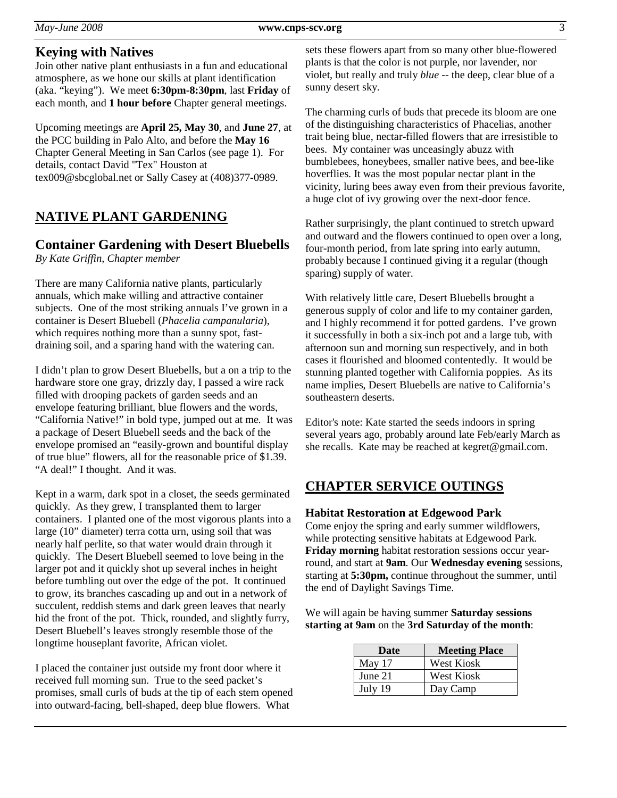### **Keying with Natives**

Join other native plant enthusiasts in a fun and educational atmosphere, as we hone our skills at plant identification (aka. "keying"). We meet **6:30pm-8:30pm**, last **Friday** of each month, and **1 hour before** Chapter general meetings.

Upcoming meetings are **April 25, May 30**, and **June 27**, at the PCC building in Palo Alto, and before the **May 16** Chapter General Meeting in San Carlos (see page 1). For details, contact David "Tex" Houston at tex009@sbcglobal.net or Sally Casey at (408)377-0989.

# **NATIVE PLANT GARDENING**

#### **Container Gardening with Desert Bluebells**

*By Kate Griffin, Chapter member* 

There are many California native plants, particularly annuals, which make willing and attractive container subjects. One of the most striking annuals I've grown in a container is Desert Bluebell (*Phacelia campanularia*), which requires nothing more than a sunny spot, fastdraining soil, and a sparing hand with the watering can.

I didn't plan to grow Desert Bluebells, but a on a trip to the hardware store one gray, drizzly day, I passed a wire rack filled with drooping packets of garden seeds and an envelope featuring brilliant, blue flowers and the words, "California Native!" in bold type, jumped out at me. It was a package of Desert Bluebell seeds and the back of the envelope promised an "easily-grown and bountiful display of true blue" flowers, all for the reasonable price of \$1.39. "A deal!" I thought. And it was.

Kept in a warm, dark spot in a closet, the seeds germinated quickly. As they grew, I transplanted them to larger containers. I planted one of the most vigorous plants into a large (10" diameter) terra cotta urn, using soil that was nearly half perlite, so that water would drain through it quickly. The Desert Bluebell seemed to love being in the larger pot and it quickly shot up several inches in height before tumbling out over the edge of the pot. It continued to grow, its branches cascading up and out in a network of succulent, reddish stems and dark green leaves that nearly hid the front of the pot. Thick, rounded, and slightly furry, Desert Bluebell's leaves strongly resemble those of the longtime houseplant favorite, African violet.

I placed the container just outside my front door where it received full morning sun. True to the seed packet's promises, small curls of buds at the tip of each stem opened into outward-facing, bell-shaped, deep blue flowers. What

sets these flowers apart from so many other blue-flowered plants is that the color is not purple, nor lavender, nor violet, but really and truly *blue* -- the deep, clear blue of a sunny desert sky.

The charming curls of buds that precede its bloom are one of the distinguishing characteristics of Phacelias, another trait being blue, nectar-filled flowers that are irresistible to bees. My container was unceasingly abuzz with bumblebees, honeybees, smaller native bees, and bee-like hoverflies. It was the most popular nectar plant in the vicinity, luring bees away even from their previous favorite, a huge clot of ivy growing over the next-door fence.

Rather surprisingly, the plant continued to stretch upward and outward and the flowers continued to open over a long, four-month period, from late spring into early autumn, probably because I continued giving it a regular (though sparing) supply of water.

With relatively little care, Desert Bluebells brought a generous supply of color and life to my container garden, and I highly recommend it for potted gardens. I've grown it successfully in both a six-inch pot and a large tub, with afternoon sun and morning sun respectively, and in both cases it flourished and bloomed contentedly. It would be stunning planted together with California poppies. As its name implies, Desert Bluebells are native to California's southeastern deserts.

Editor's note: Kate started the seeds indoors in spring several years ago, probably around late Feb/early March as she recalls. Kate may be reached at kegret@gmail.com.

# **CHAPTER SERVICE OUTINGS**

#### **Habitat Restoration at Edgewood Park**

Come enjoy the spring and early summer wildflowers, while protecting sensitive habitats at Edgewood Park. **Friday morning** habitat restoration sessions occur yearround, and start at **9am**. Our **Wednesday evening** sessions, starting at **5:30pm,** continue throughout the summer, until the end of Daylight Savings Time.

We will again be having summer **Saturday sessions starting at 9am** on the **3rd Saturday of the month**:

| Date    | <b>Meeting Place</b> |
|---------|----------------------|
| May 17  | <b>West Kiosk</b>    |
| June 21 | <b>West Kiosk</b>    |
| July 19 | Day Camp             |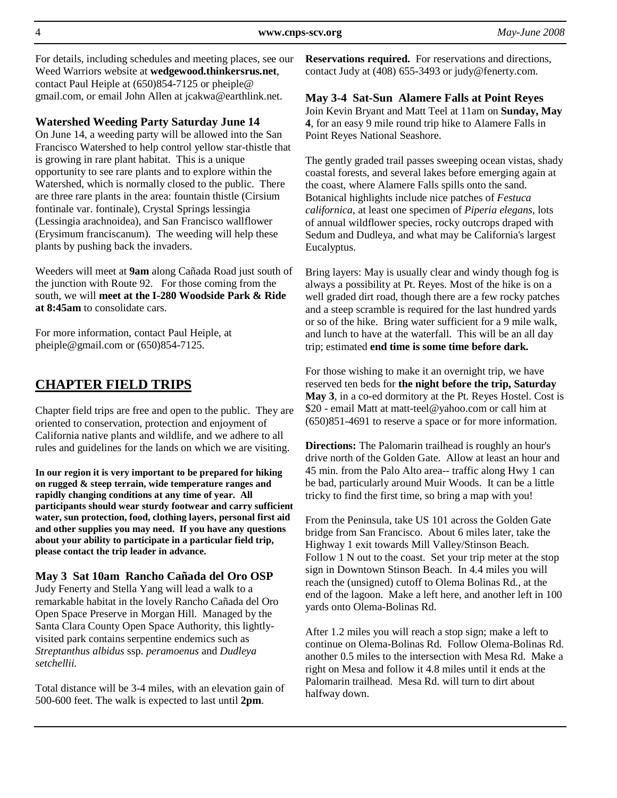For details, including schedules and meeting places, see our Weed Warriors website at **wedgewood.thinkersrus.net**, contact Paul Heiple at (650)854-7125 or pheiple@ gmail.com, or email John Allen at jcakwa@earthlink.net.

#### **Watershed Weeding Party Saturday June 14**

On June 14, a weeding party will be allowed into the San Francisco Watershed to help control yellow star-thistle that is growing in rare plant habitat. This is a unique opportunity to see rare plants and to explore within the Watershed, which is normally closed to the public. There are three rare plants in the area: fountain thistle (Cirsium fontinale var. fontinale), Crystal Springs lessingia (Lessingia arachnoidea), and San Francisco wallflower (Erysimum franciscanum). The weeding will help these plants by pushing back the invaders.

Weeders will meet at **9am** along Cañada Road just south of the junction with Route 92. For those coming from the south, we will **meet at the I-280 Woodside Park & Ride at 8:45am** to consolidate cars.

For more information, contact Paul Heiple, at pheiple@gmail.com or (650)854-7125.

# **CHAPTER FIELD TRIPS**

Chapter field trips are free and open to the public. They are oriented to conservation, protection and enjoyment of California native plants and wildlife, and we adhere to all rules and guidelines for the lands on which we are visiting.

**In our region it is very important to be prepared for hiking on rugged & steep terrain, wide temperature ranges and rapidly changing conditions at any time of year. All participants should wear sturdy footwear and carry sufficient water, sun protection, food, clothing layers, personal first aid and other supplies you may need. If you have any questions about your ability to participate in a particular field trip, please contact the trip leader in advance.** 

#### **May 3 Sat 10am Rancho Cañada del Oro OSP**

Judy Fenerty and Stella Yang will lead a walk to a remarkable habitat in the lovely Rancho Cañada del Oro Open Space Preserve in Morgan Hill. Managed by the Santa Clara County Open Space Authority, this lightlyvisited park contains serpentine endemics such as *Streptanthus albidus* ssp. *peramoenus* and *Dudleya setchellii.* 

Total distance will be 3-4 miles, with an elevation gain of 500-600 feet. The walk is expected to last until **2pm**.

**Reservations required.** For reservations and directions, contact Judy at (408) 655-3493 or judy@fenerty.com.

#### **May 3-4 Sat-Sun Alamere Falls at Point Reyes**

Join Kevin Bryant and Matt Teel at 11am on **Sunday, May 4**, for an easy 9 mile round trip hike to Alamere Falls in Point Reyes National Seashore.

The gently graded trail passes sweeping ocean vistas, shady coastal forests, and several lakes before emerging again at the coast, where Alamere Falls spills onto the sand. Botanical highlights include nice patches of *Festuca californica*, at least one specimen of *Piperia elegans*, lots of annual wildflower species, rocky outcrops draped with Sedum and Dudleya, and what may be California's largest Eucalyptus.

Bring layers: May is usually clear and windy though fog is always a possibility at Pt. Reyes. Most of the hike is on a well graded dirt road, though there are a few rocky patches and a steep scramble is required for the last hundred yards or so of the hike. Bring water sufficient for a 9 mile walk, and lunch to have at the waterfall. This will be an all day trip; estimated **end time is some time before dark.**

For those wishing to make it an overnight trip, we have reserved ten beds for **the night before the trip, Saturday May 3**, in a co-ed dormitory at the Pt. Reyes Hostel. Cost is \$20 - email Matt at matt-teel@yahoo.com or call him at (650)851-4691 to reserve a space or for more information.

**Directions:** The Palomarin trailhead is roughly an hour's drive north of the Golden Gate. Allow at least an hour and 45 min. from the Palo Alto area-- traffic along Hwy 1 can be bad, particularly around Muir Woods. It can be a little tricky to find the first time, so bring a map with you!

From the Peninsula, take US 101 across the Golden Gate bridge from San Francisco. About 6 miles later, take the Highway 1 exit towards Mill Valley/Stinson Beach. Follow 1 N out to the coast. Set your trip meter at the stop sign in Downtown Stinson Beach. In 4.4 miles you will reach the (unsigned) cutoff to Olema Bolinas Rd., at the end of the lagoon. Make a left here, and another left in 100 yards onto Olema-Bolinas Rd.

After 1.2 miles you will reach a stop sign; make a left to continue on Olema-Bolinas Rd. Follow Olema-Bolinas Rd. another 0.5 miles to the intersection with Mesa Rd. Make a right on Mesa and follow it 4.8 miles until it ends at the Palomarin trailhead. Mesa Rd. will turn to dirt about halfway down.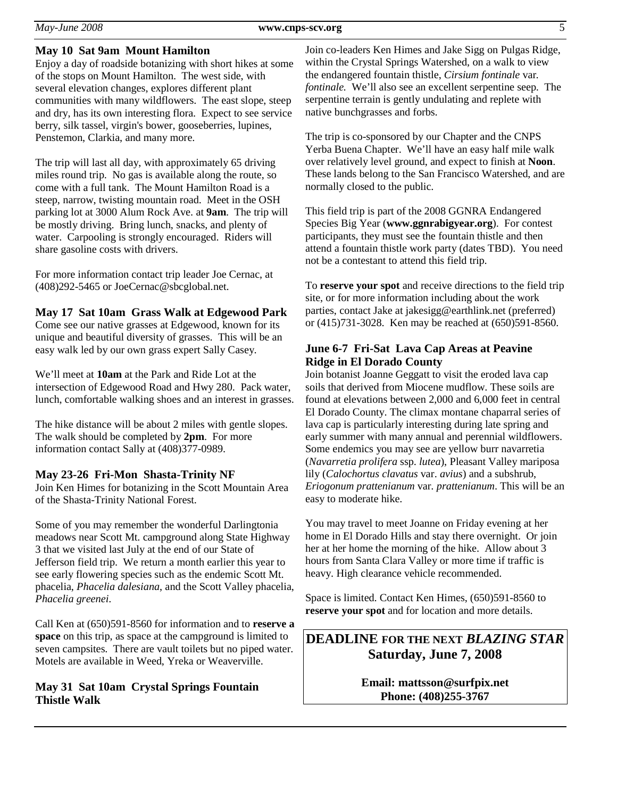#### **May 10 Sat 9am Mount Hamilton**

Enjoy a day of roadside botanizing with short hikes at some of the stops on Mount Hamilton. The west side, with several elevation changes, explores different plant communities with many wildflowers. The east slope, steep and dry, has its own interesting flora. Expect to see service berry, silk tassel, virgin's bower, gooseberries, lupines, Penstemon, Clarkia, and many more.

The trip will last all day, with approximately 65 driving miles round trip. No gas is available along the route, so come with a full tank. The Mount Hamilton Road is a steep, narrow, twisting mountain road. Meet in the OSH parking lot at 3000 Alum Rock Ave. at **9am**. The trip will be mostly driving. Bring lunch, snacks, and plenty of water. Carpooling is strongly encouraged. Riders will share gasoline costs with drivers.

For more information contact trip leader Joe Cernac, at (408)292-5465 or JoeCernac@sbcglobal.net.

## **May 17 Sat 10am Grass Walk at Edgewood Park**

Come see our native grasses at Edgewood, known for its unique and beautiful diversity of grasses. This will be an easy walk led by our own grass expert Sally Casey.

We'll meet at **10am** at the Park and Ride Lot at the intersection of Edgewood Road and Hwy 280. Pack water, lunch, comfortable walking shoes and an interest in grasses.

The hike distance will be about 2 miles with gentle slopes. The walk should be completed by **2pm**. For more information contact Sally at (408)377-0989.

# **May 23-26 Fri-Mon Shasta-Trinity NF**

Join Ken Himes for botanizing in the Scott Mountain Area of the Shasta-Trinity National Forest.

Some of you may remember the wonderful Darlingtonia meadows near Scott Mt. campground along State Highway 3 that we visited last July at the end of our State of Jefferson field trip. We return a month earlier this year to see early flowering species such as the endemic Scott Mt. phacelia, *Phacelia dalesiana*, and the Scott Valley phacelia, *Phacelia greenei*.

Call Ken at (650)591-8560 for information and to **reserve a space** on this trip, as space at the campground is limited to seven campsites. There are vault toilets but no piped water. Motels are available in Weed, Yreka or Weaverville.

# **May 31 Sat 10am Crystal Springs Fountain Thistle Walk**

Join co-leaders Ken Himes and Jake Sigg on Pulgas Ridge, within the Crystal Springs Watershed, on a walk to view the endangered fountain thistle, *Cirsium fontinale* var*. fontinale.* We'll also see an excellent serpentine seep. The serpentine terrain is gently undulating and replete with native bunchgrasses and forbs.

The trip is co-sponsored by our Chapter and the CNPS Yerba Buena Chapter. We'll have an easy half mile walk over relatively level ground, and expect to finish at **Noon**. These lands belong to the San Francisco Watershed, and are normally closed to the public.

This field trip is part of the 2008 GGNRA Endangered Species Big Year (**www.ggnrabigyear.org**). For contest participants, they must see the fountain thistle and then attend a fountain thistle work party (dates TBD). You need not be a contestant to attend this field trip.

To **reserve your spot** and receive directions to the field trip site, or for more information including about the work parties, contact Jake at jakesigg@earthlink.net (preferred) or (415)731-3028. Ken may be reached at (650)591-8560.

#### **June 6-7 Fri-Sat Lava Cap Areas at Peavine Ridge in El Dorado County**

Join botanist Joanne Geggatt to visit the eroded lava cap soils that derived from Miocene mudflow. These soils are found at elevations between 2,000 and 6,000 feet in central El Dorado County. The climax montane chaparral series of lava cap is particularly interesting during late spring and early summer with many annual and perennial wildflowers. Some endemics you may see are yellow burr navarretia (*Navarretia prolifera* ssp. *lutea*), Pleasant Valley mariposa lily (*Calochortus clavatus* var. *avius*) and a subshrub, *Eriogonum prattenianum* var. *prattenianum*. This will be an easy to moderate hike.

You may travel to meet Joanne on Friday evening at her home in El Dorado Hills and stay there overnight. Or join her at her home the morning of the hike. Allow about 3 hours from Santa Clara Valley or more time if traffic is heavy. High clearance vehicle recommended.

Space is limited. Contact Ken Himes, (650)591-8560 to **reserve your spot** and for location and more details.

**DEADLINE FOR THE NEXT** *BLAZING STAR*  **Saturday, June 7, 2008** 

> **Email: mattsson@surfpix.net Phone: (408)255-3767**